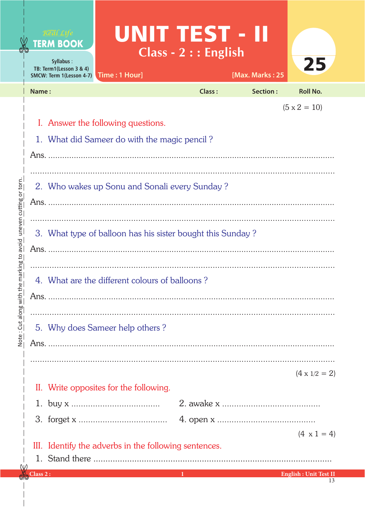|                                                                       |                                                                                   | Real Life<br><b>TERM BOOK</b><br>Syllabus:<br>TB: Term1(Lesson 3 & 4)<br>SMCW: Term 1(Lesson 4-7)                                                                                                                        | Time: 1 Hour]                          | UNIT TEST - II<br>$Class - 2 : : English$ | [Max. Marks: 25 | 25                                 |  |  |
|-----------------------------------------------------------------------|-----------------------------------------------------------------------------------|--------------------------------------------------------------------------------------------------------------------------------------------------------------------------------------------------------------------------|----------------------------------------|-------------------------------------------|-----------------|------------------------------------|--|--|
|                                                                       | Name:                                                                             |                                                                                                                                                                                                                          |                                        | <b>Class:</b>                             | Section:        | <b>Roll No.</b>                    |  |  |
| uneven cutting or torn<br>he marking to avoid<br>Note: Cut along with |                                                                                   | $(5 \times 2 = 10)$<br>I. Answer the following questions.<br>1. What did Sameer do with the magic pencil?<br>2. Who wakes up Sonu and Sonali every Sunday?<br>3. What type of balloon has his sister bought this Sunday? |                                        |                                           |                 |                                    |  |  |
|                                                                       | 4. What are the different colours of balloons?<br>5. Why does Sameer help others? |                                                                                                                                                                                                                          |                                        |                                           |                 |                                    |  |  |
|                                                                       |                                                                                   |                                                                                                                                                                                                                          |                                        |                                           |                 |                                    |  |  |
|                                                                       |                                                                                   |                                                                                                                                                                                                                          | II. Write opposites for the following. |                                           |                 | $(4 \times 1/2 = 2)$               |  |  |
|                                                                       |                                                                                   |                                                                                                                                                                                                                          |                                        |                                           |                 |                                    |  |  |
|                                                                       |                                                                                   |                                                                                                                                                                                                                          |                                        |                                           |                 |                                    |  |  |
|                                                                       |                                                                                   | $(4 \times 1 = 4)$<br>III. Identify the adverbs in the following sentences.                                                                                                                                              |                                        |                                           |                 |                                    |  |  |
|                                                                       | $\verb Class2 $ :                                                                 |                                                                                                                                                                                                                          |                                        | -1                                        |                 | <b>English: Unit Test II</b><br>13 |  |  |